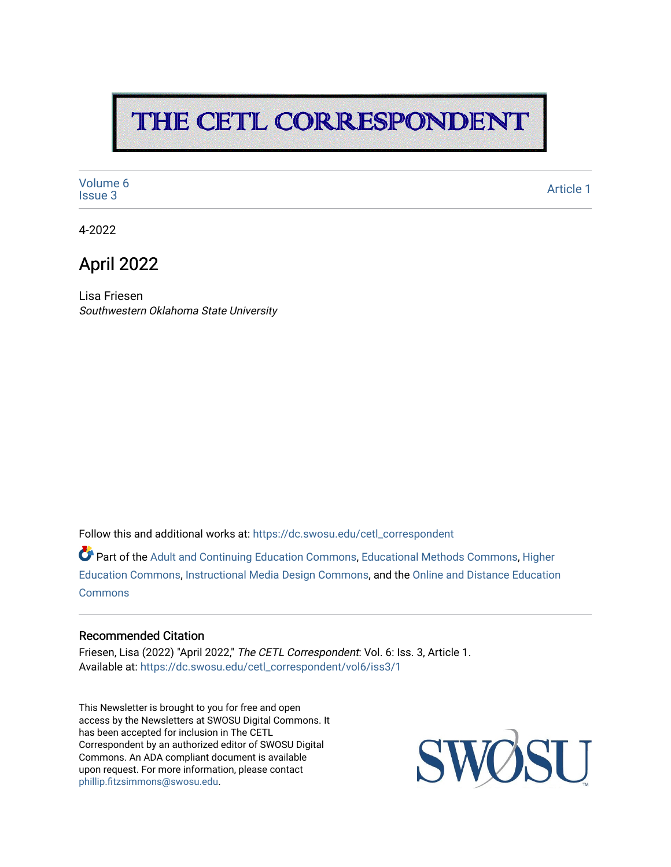# THE CETL CORRESPONDENT

[Volume 6](https://dc.swosu.edu/cetl_correspondent/vol6)<br>Issue 3 volume of the state of the state of the state of the state of the state of the state of the state of the state of the state of the state of the state of the state of the state of the state of the state of the state of the

4-2022

### April 2022

Lisa Friesen Southwestern Oklahoma State University

Follow this and additional works at: [https://dc.swosu.edu/cetl\\_correspondent](https://dc.swosu.edu/cetl_correspondent?utm_source=dc.swosu.edu%2Fcetl_correspondent%2Fvol6%2Fiss3%2F1&utm_medium=PDF&utm_campaign=PDFCoverPages)

Part of the [Adult and Continuing Education Commons,](http://network.bepress.com/hgg/discipline/1375?utm_source=dc.swosu.edu%2Fcetl_correspondent%2Fvol6%2Fiss3%2F1&utm_medium=PDF&utm_campaign=PDFCoverPages) [Educational Methods Commons,](http://network.bepress.com/hgg/discipline/1227?utm_source=dc.swosu.edu%2Fcetl_correspondent%2Fvol6%2Fiss3%2F1&utm_medium=PDF&utm_campaign=PDFCoverPages) [Higher](http://network.bepress.com/hgg/discipline/1245?utm_source=dc.swosu.edu%2Fcetl_correspondent%2Fvol6%2Fiss3%2F1&utm_medium=PDF&utm_campaign=PDFCoverPages) [Education Commons,](http://network.bepress.com/hgg/discipline/1245?utm_source=dc.swosu.edu%2Fcetl_correspondent%2Fvol6%2Fiss3%2F1&utm_medium=PDF&utm_campaign=PDFCoverPages) [Instructional Media Design Commons,](http://network.bepress.com/hgg/discipline/795?utm_source=dc.swosu.edu%2Fcetl_correspondent%2Fvol6%2Fiss3%2F1&utm_medium=PDF&utm_campaign=PDFCoverPages) and the [Online and Distance Education](http://network.bepress.com/hgg/discipline/1296?utm_source=dc.swosu.edu%2Fcetl_correspondent%2Fvol6%2Fiss3%2F1&utm_medium=PDF&utm_campaign=PDFCoverPages)  **[Commons](http://network.bepress.com/hgg/discipline/1296?utm_source=dc.swosu.edu%2Fcetl_correspondent%2Fvol6%2Fiss3%2F1&utm_medium=PDF&utm_campaign=PDFCoverPages)** 

#### Recommended Citation

Friesen, Lisa (2022) "April 2022," The CETL Correspondent: Vol. 6: Iss. 3, Article 1. Available at: [https://dc.swosu.edu/cetl\\_correspondent/vol6/iss3/1](https://dc.swosu.edu/cetl_correspondent/vol6/iss3/1?utm_source=dc.swosu.edu%2Fcetl_correspondent%2Fvol6%2Fiss3%2F1&utm_medium=PDF&utm_campaign=PDFCoverPages) 

This Newsletter is brought to you for free and open access by the Newsletters at SWOSU Digital Commons. It has been accepted for inclusion in The CETL Correspondent by an authorized editor of SWOSU Digital Commons. An ADA compliant document is available upon request. For more information, please contact [phillip.fitzsimmons@swosu.edu](mailto:phillip.fitzsimmons@swosu.edu).

SWO **STT**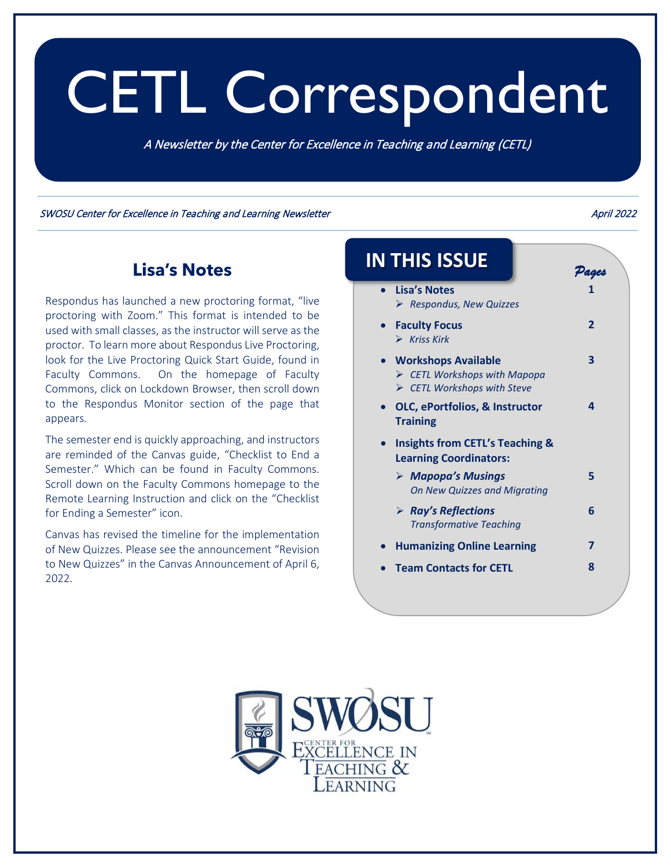# CETL Correspondent

A Newsletter by the Center for Excellence in Teaching and Learning (CETL)

SWOSU Center for Excellence in Teaching and Learning Newsletter April 2022 **April 2022** 

### **Lisa's Notes**

Respondus has launched a new proctoring format, "live proctoring with Zoom." This format is intended to be used with small classes, as the instructor will serve as the proctor. To learn more about Respondus Live Proctoring, look for the Live Proctoring Quick Start Guide, found in Faculty Commons. On the homepage of Faculty Commons, click on Lockdown Browser, then scroll down to the Respondus Monitor section of the page that appears.

The semester end is quickly approaching, and instructors are reminded of the Canvas guide, "Checklist to End a Semester." Which can be found in Faculty Commons. Scroll down on the Faculty Commons homepage to the Remote Learning Instruction and click on the "Checklist for Ending a Semester" icon.

Canvas has revised the timeline for the implementation of New Quizzes. Please see the announcement "Revision to New Quizzes" in the Canvas Announcement of April 6, 2022.

# **IN THIS ISSUE**

• **Lisa's Notes** *Respondus, New Quizzes* **1**  • **[Faculty Focus](#page-2-0)** *Kriss Kirk*  $\overline{2}$ • **[Workshops Available](#page-3-0)** *CETL Workshops with Mapopa [CETL Workshops with Steve](#page-3-0)* **3**  • **[OLC, ePortfolios, & Instructor](#page-4-0)  Training 4**  • **Insights from CETL's Teaching & [Learning Coordinators:](#page-5-0)** *Mapopa's Musings [On New Quizzes and Migrating](#page-5-0)* **5**  *[Ray's Reflections](#page-6-0) Transformative Teaching* **6**  • **[Humanizing Online Learning](#page-7-0) 7**  • **[Team Contacts for CETL](#page-8-0) 8** 



*Pages*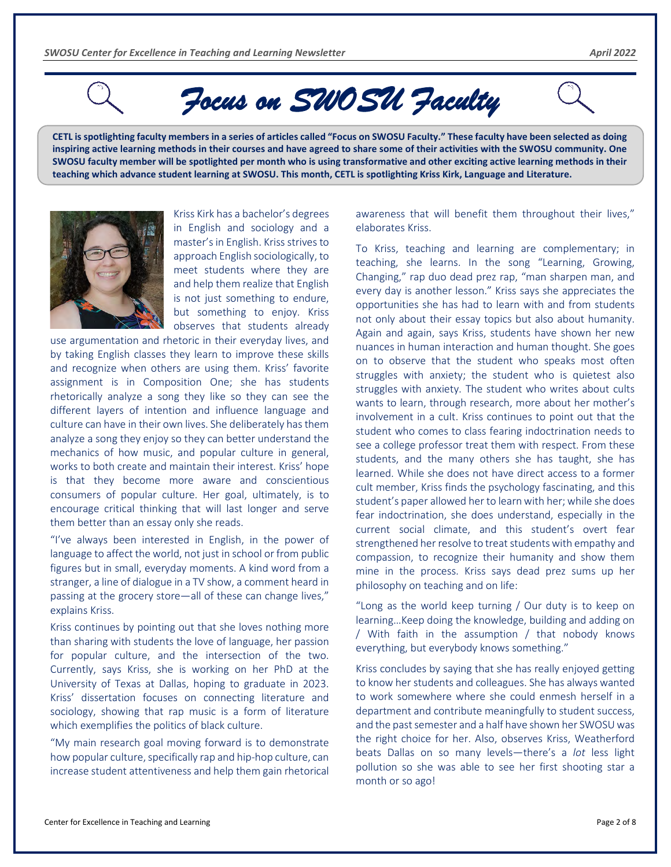<span id="page-2-0"></span>

*Focus on SWOSU Faculty* 

**CETL is spotlighting faculty members in a series of articles called "Focus on SWOSU Faculty." These faculty have been selected as doing inspiring active learning methods in their courses and have agreed to share some of their activities with the SWOSU community. One SWOSU faculty member will be spotlighted per month who is using transformative and other exciting active learning methods in their teaching which advance student learning at SWOSU. This month, CETL is spotlighting Kriss Kirk, Language and Literature.** 



Kriss Kirk has a bachelor's degrees in English and sociology and a master's in English. Kriss strives to approach English sociologically, to meet students where they are and help them realize that English is not just something to endure, but something to enjoy. Kriss observes that students already

use argumentation and rhetoric in their everyday lives, and by taking English classes they learn to improve these skills and recognize when others are using them. Kriss' favorite assignment is in Composition One; she has students rhetorically analyze a song they like so they can see the different layers of intention and influence language and culture can have in their own lives. She deliberately has them analyze a song they enjoy so they can better understand the mechanics of how music, and popular culture in general, works to both create and maintain their interest. Kriss' hope is that they become more aware and conscientious consumers of popular culture. Her goal, ultimately, is to encourage critical thinking that will last longer and serve them better than an essay only she reads.

"I've always been interested in English, in the power of language to affect the world, not just in school or from public figures but in small, everyday moments. A kind word from a stranger, a line of dialogue in a TV show, a comment heard in passing at the grocery store—all of these can change lives," explains Kriss.

Kriss continues by pointing out that she loves nothing more than sharing with students the love of language, her passion for popular culture, and the intersection of the two. Currently, says Kriss, she is working on her PhD at the University of Texas at Dallas, hoping to graduate in 2023. Kriss' dissertation focuses on connecting literature and sociology, showing that rap music is a form of literature which exemplifies the politics of black culture.

"My main research goal moving forward is to demonstrate how popular culture, specifically rap and hip-hop culture, can increase student attentiveness and help them gain rhetorical awareness that will benefit them throughout their lives," elaborates Kriss.

To Kriss, teaching and learning are complementary; in teaching, she learns. In the song "Learning, Growing, Changing," rap duo dead prez rap, "man sharpen man, and every day is another lesson." Kriss says she appreciates the opportunities she has had to learn with and from students not only about their essay topics but also about humanity. Again and again, says Kriss, students have shown her new nuances in human interaction and human thought. She goes on to observe that the student who speaks most often struggles with anxiety; the student who is quietest also struggles with anxiety. The student who writes about cults wants to learn, through research, more about her mother's involvement in a cult. Kriss continues to point out that the student who comes to class fearing indoctrination needs to see a college professor treat them with respect. From these students, and the many others she has taught, she has learned. While she does not have direct access to a former cult member, Kriss finds the psychology fascinating, and this student's paper allowed her to learn with her; while she does fear indoctrination, she does understand, especially in the current social climate, and this student's overt fear strengthened her resolve to treat students with empathy and compassion, to recognize their humanity and show them mine in the process. Kriss says dead prez sums up her philosophy on teaching and on life:

"Long as the world keep turning / Our duty is to keep on learning…Keep doing the knowledge, building and adding on / With faith in the assumption / that nobody knows everything, but everybody knows something."

Kriss concludes by saying that she has really enjoyed getting to know her students and colleagues. She has always wanted to work somewhere where she could enmesh herself in a department and contribute meaningfully to student success, and the past semester and a half have shown her SWOSU was the right choice for her. Also, observes Kriss, Weatherford beats Dallas on so many levels—there's a *lot* less light pollution so she was able to see her first shooting star a month or so ago!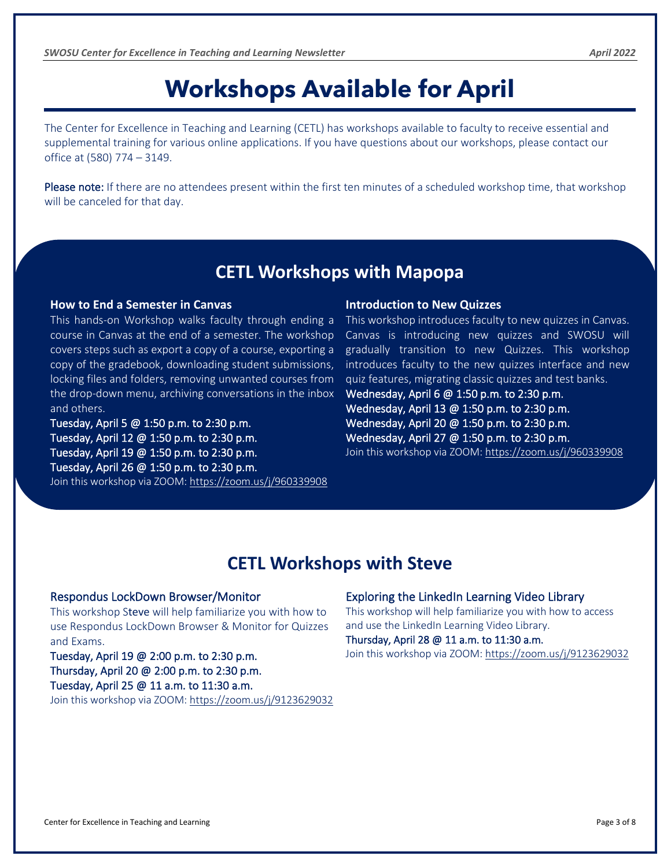# **Workshops Available for April**

<span id="page-3-0"></span>The Center for Excellence in Teaching and Learning (CETL) has workshops available to faculty to receive essential and supplemental training for various online applications. If you have questions about our workshops, please contact our office at (580) 774 – 3149.

Please note: If there are no attendees present within the first ten minutes of a scheduled workshop time, that workshop will be canceled for that day.

### **CETL Workshops with Mapopa**

#### **How to End a Semester in Canvas**

This hands-on Workshop walks faculty through ending a course in Canvas at the end of a semester. The workshop covers steps such as export a copy of a course, exporting a copy of the gradebook, downloading student submissions, locking files and folders, removing unwanted courses from the drop-down menu, archiving conversations in the inbox and others.

Tuesday, April 5 @ 1:50 p.m. to 2:30 p.m. Tuesday, April 12 @ 1:50 p.m. to 2:30 p.m. Tuesday, April 19 @ 1:50 p.m. to 2:30 p.m. Tuesday, April 26 @ 1:50 p.m. to 2:30 p.m.

#### Join this workshop via ZOOM: <https://zoom.us/j/960339908>

#### **Introduction to New Quizzes**

This workshop introduces faculty to new quizzes in Canvas. Canvas is introducing new quizzes and SWOSU will gradually transition to new Quizzes. This workshop introduces faculty to the new quizzes interface and new quiz features, migrating classic quizzes and test banks.

Wednesday, April 6 @ 1:50 p.m. to 2:30 p.m. Wednesday, April 13 @ 1:50 p.m. to 2:30 p.m. Wednesday, April 20 @ 1:50 p.m. to 2:30 p.m. Wednesday, April 27 @ 1:50 p.m. to 2:30 p.m. Join this workshop via ZOOM: <https://zoom.us/j/960339908>

### **CETL Workshops with Steve**

#### Respondus LockDown Browser/Monitor

This workshop Steve will help familiarize you with how to use Respondus LockDown Browser & Monitor for Quizzes and Exams.

#### Tuesday, April 19 @ 2:00 p.m. to 2:30 p.m. Thursday, April 20 @ 2:00 p.m. to 2:30 p.m. Tuesday, April 25 @ 11 a.m. to 11:30 a.m.

Join this workshop via ZOOM: <https://zoom.us/j/9123629032>

#### Exploring the LinkedIn Learning Video Library

This workshop will help familiarize you with how to access and use the LinkedIn Learning Video Library. Thursday, April 28 @ 11 a.m. to 11:30 a.m.

Join this workshop via ZOOM:<https://zoom.us/j/9123629032>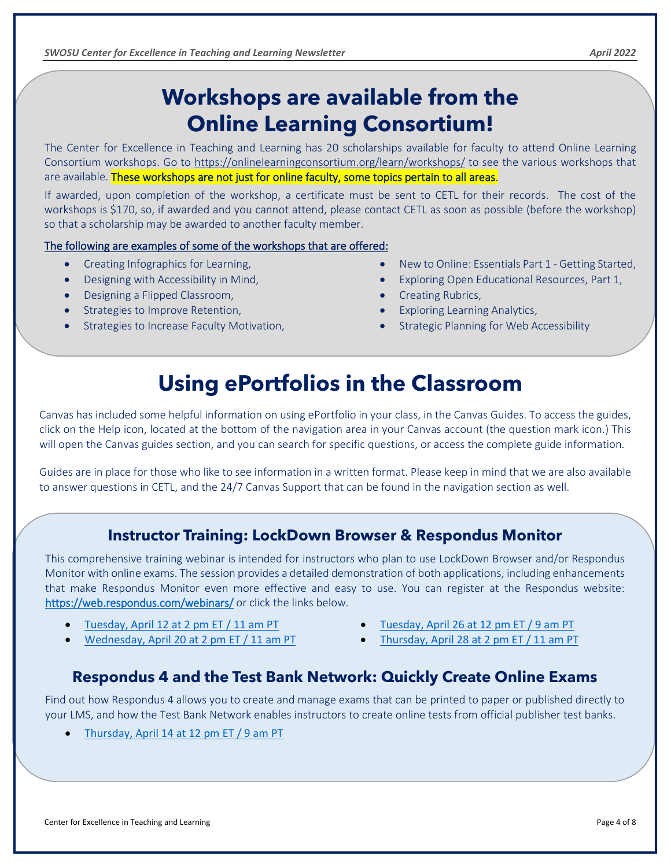### **Workshops are available from the Online Learning Consortium!**

The Center for Excellence in Teaching and Learning has 20 scholarships available for faculty to attend Online Learning Consortium workshops. Go to <https://onlinelearningconsortium.org/learn/workshops/> to see the various workshops that are available. These workshops are not just for online faculty, some topics pertain to all areas.

If awarded, upon completion of the workshop, a certificate must be sent to CETL for their records. The cost of the workshops is \$170, so, if awarded and you cannot attend, please contact CETL as soon as possible (before the workshop) so that a scholarship may be awarded to another faculty member.

#### The following are examples of some of the workshops that are offered:

- Creating Infographics for Learning,
- Designing with Accessibility in Mind,
- Designing a Flipped Classroom,

<span id="page-4-0"></span>

- Strategies to Improve Retention,
- Strategies to Increase Faculty Motivation,
- New to Online: Essentials Part 1 Getting Started,
- Exploring Open Educational Resources, Part 1,
- Creating Rubrics,
- Exploring Learning Analytics,
- Strategic Planning for Web Accessibility

### **Using ePortfolios in the Classroom**

Canvas has included some helpful information on using ePortfolio in your class, in the Canvas Guides. To access the guides, click on the Help icon, located at the bottom of the navigation area in your Canvas account (the question mark icon.) This will open the Canvas guides section, and you can search for specific questions, or access the complete guide information.

Guides are in place for those who like to see information in a written format. Please keep in mind that we are also available to answer questions in CETL, and the 24/7 Canvas Support that can be found in the navigation section as well.

### **Instructor Training: LockDown Browser & Respondus Monitor**

This comprehensive training webinar is intended for instructors who plan to use LockDown Browser and/or Respondus Monitor with online exams. The session provides a detailed demonstration of both applications, including enhancements that make Respondus Monitor even more effective and easy to use. You can register at the Respondus website: <https://web.respondus.com/webinars/> or click the links below.

- [Tuesday, April 12 at 2 pm ET / 11 am PT](https://attendee.gotowebinar.com/register/3068925391361803020)
- [Wednesday, April 20 at 2 pm ET / 11 am](https://attendee.gotowebinar.com/register/7578072055314133264) PT
- [Tuesday, April 26 at 12 pm ET / 9 am PT](https://attendee.gotowebinar.com/register/5294603008079923728)
- [Thursday, April 28 at 2 pm ET / 11 am PT](https://attendee.gotowebinar.com/register/1057041214319954702)

### **Respondus 4 and the Test Bank Network: Quickly Create Online Exams**

Find out how Respondus 4 allows you to create and manage exams that can be printed to paper or published directly to your LMS, and how the Test Bank Network enables instructors to create online tests from official publisher test banks.

• [Thursday, April 14 at 12 pm ET / 9 am PT](https://attendee.gotowebinar.com/register/8749946940940893708)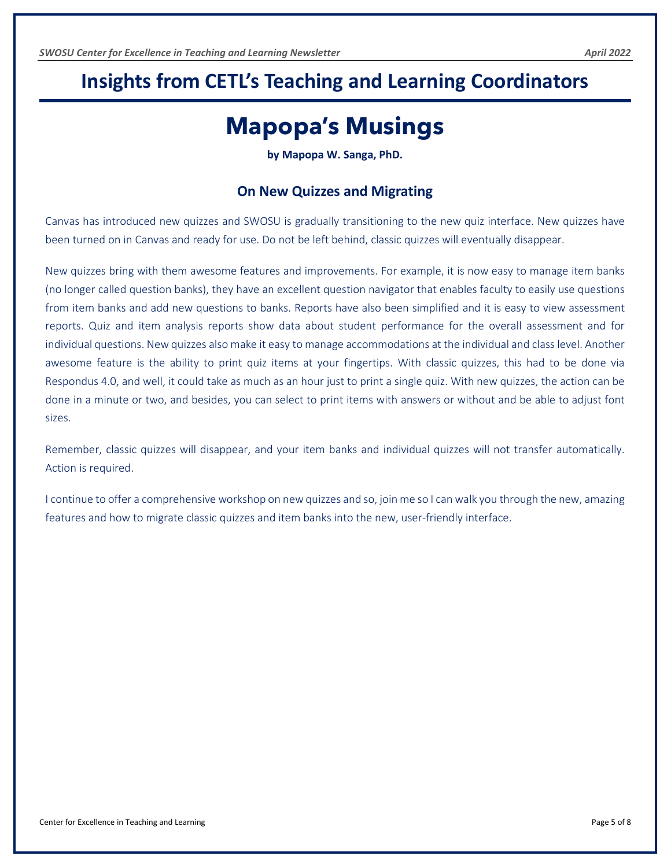### <span id="page-5-0"></span>**Insights from CETL's Teaching and Learning Coordinators**

### **Mapopa's Musings**

**by Mapopa W. Sanga, PhD.**

#### **On New Quizzes and Migrating**

Canvas has introduced new quizzes and SWOSU is gradually transitioning to the new quiz interface. New quizzes have been turned on in Canvas and ready for use. Do not be left behind, classic quizzes will eventually disappear.

New quizzes bring with them awesome features and improvements. For example, it is now easy to manage item banks (no longer called question banks), they have an excellent question navigator that enables faculty to easily use questions from item banks and add new questions to banks. Reports have also been simplified and it is easy to view assessment reports. Quiz and item analysis reports show data about student performance for the overall assessment and for individual questions. New quizzes also make it easy to manage accommodations at the individual and class level. Another awesome feature is the ability to print quiz items at your fingertips. With classic quizzes, this had to be done via Respondus 4.0, and well, it could take as much as an hour just to print a single quiz. With new quizzes, the action can be done in a minute or two, and besides, you can select to print items with answers or without and be able to adjust font sizes.

Remember, classic quizzes will disappear, and your item banks and individual quizzes will not transfer automatically. Action is required.

I continue to offer a comprehensive workshop on new quizzes and so, join me so I can walk you through the new, amazing features and how to migrate classic quizzes and item banks into the new, user-friendly interface.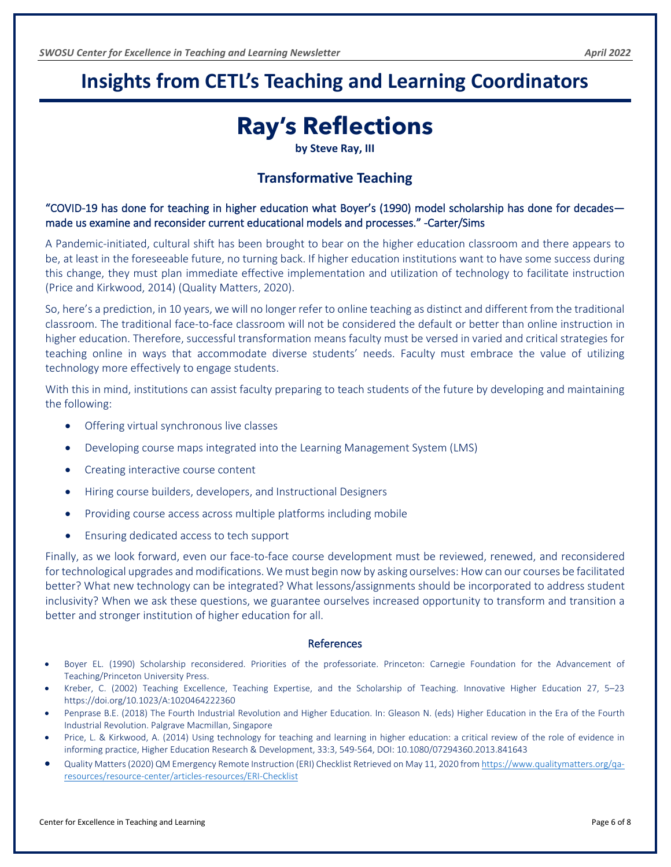### <span id="page-6-0"></span>**Insights from CETL's Teaching and Learning Coordinators**

### **Ray's Reflections**

**by Steve Ray, III**

#### **Transformative Teaching**

"COVID-19 has done for teaching in higher education what Boyer's (1990) model scholarship has done for decades made us examine and reconsider current educational models and processes." -Carter/Sims

A Pandemic-initiated, cultural shift has been brought to bear on the higher education classroom and there appears to be, at least in the foreseeable future, no turning back. If higher education institutions want to have some success during this change, they must plan immediate effective implementation and utilization of technology to facilitate instruction (Price and Kirkwood, 2014) (Quality Matters, 2020).

So, here's a prediction, in 10 years, we will no longer refer to online teaching as distinct and different from the traditional classroom. The traditional face-to-face classroom will not be considered the default or better than online instruction in higher education. Therefore, successful transformation means faculty must be versed in varied and critical strategies for teaching online in ways that accommodate diverse students' needs. Faculty must embrace the value of utilizing technology more effectively to engage students.

With this in mind, institutions can assist faculty preparing to teach students of the future by developing and maintaining the following:

- Offering virtual synchronous live classes
- Developing course maps integrated into the Learning Management System (LMS)
- Creating interactive course content
- Hiring course builders, developers, and Instructional Designers
- Providing course access across multiple platforms including mobile
- Ensuring dedicated access to tech support

Finally, as we look forward, even our face-to-face course development must be reviewed, renewed, and reconsidered for technological upgrades and modifications. We must begin now by asking ourselves: How can our courses be facilitated better? What new technology can be integrated? What lessons/assignments should be incorporated to address student inclusivity? When we ask these questions, we guarantee ourselves increased opportunity to transform and transition a better and stronger institution of higher education for all.

#### **References**

- Boyer EL. (1990) Scholarship reconsidered. Priorities of the professoriate. Princeton: Carnegie Foundation for the Advancement of Teaching/Princeton University Press.
- Kreber, C. (2002) Teaching Excellence, Teaching Expertise, and the Scholarship of Teaching. Innovative Higher Education 27, 5–23 https://doi.org/10.1023/A:1020464222360
- Penprase B.E. (2018) The Fourth Industrial Revolution and Higher Education. In: Gleason N. (eds) Higher Education in the Era of the Fourth Industrial Revolution. Palgrave Macmillan, Singapore
- Price, L. & Kirkwood, A. (2014) Using technology for teaching and learning in higher education: a critical review of the role of evidence in informing practice, Higher Education Research & Development, 33:3, 549-564, DOI: 10.1080/07294360.2013.841643
- Quality Matters (2020) QM Emergency Remote Instruction (ERI) Checklist Retrieved on May 11, 2020 fro[m https://www.qualitymatters.org/qa](https://www.qualitymatters.org/qa-resources/resource-center/articles-resources/ERI-Checklist)[resources/resource-center/articles-resources/ERI-Checklist](https://www.qualitymatters.org/qa-resources/resource-center/articles-resources/ERI-Checklist)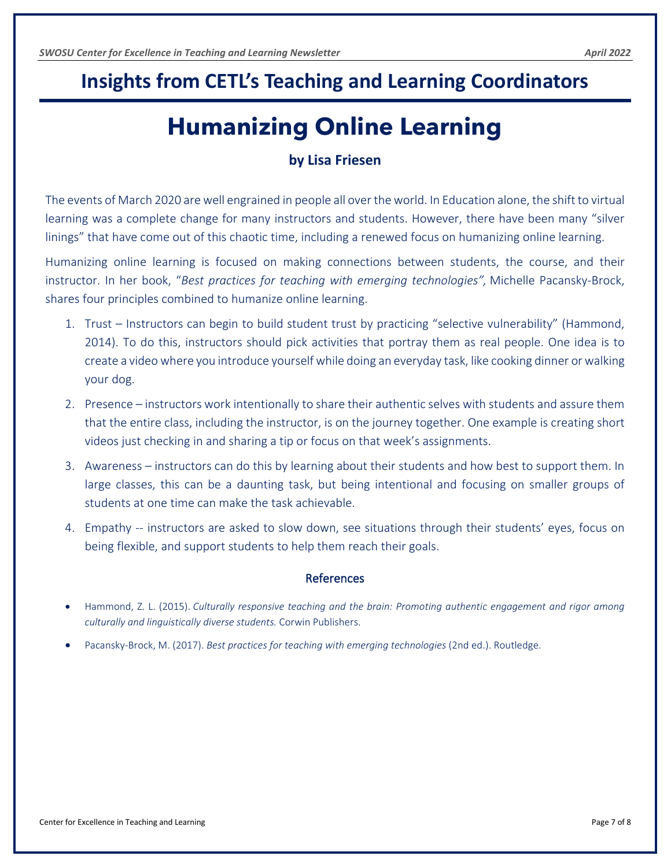### <span id="page-7-0"></span>**Insights from CETL's Teaching and Learning Coordinators**

# **Humanizing Online Learning**

#### **by Lisa Friesen**

The events of March 2020 are well engrained in people all over the world. In Education alone, the shift to virtual learning was a complete change for many instructors and students. However, there have been many "silver linings" that have come out of this chaotic time, including a renewed focus on humanizing online learning.

Humanizing online learning is focused on making connections between students, the course, and their instructor. In her book, "*Best practices for teaching with emerging technologies",* Michelle Pacansky-Brock, shares four principles combined to humanize online learning.

- 1. Trust Instructors can begin to build student trust by practicing "selective vulnerability" (Hammond, 2014). To do this, instructors should pick activities that portray them as real people. One idea is to create a video where you introduce yourself while doing an everyday task, like cooking dinner or walking your dog.
- 2. Presence instructors work intentionally to share their authentic selves with students and assure them that the entire class, including the instructor, is on the journey together. One example is creating short videos just checking in and sharing a tip or focus on that week's assignments.
- 3. Awareness instructors can do this by learning about their students and how best to support them. In large classes, this can be a daunting task, but being intentional and focusing on smaller groups of students at one time can make the task achievable.
- 4. Empathy -- instructors are asked to slow down, see situations through their students' eyes, focus on being flexible, and support students to help them reach their goals.

#### References

- Hammond, Z. L. (2015). *Culturally responsive teaching and the brain: Promoting authentic engagement and rigor among culturally and linguistically diverse students.* Corwin Publishers.
- Pacansky-Brock, M. (2017). *Best practices for teaching with emerging technologies* (2nd ed.). Routledge.